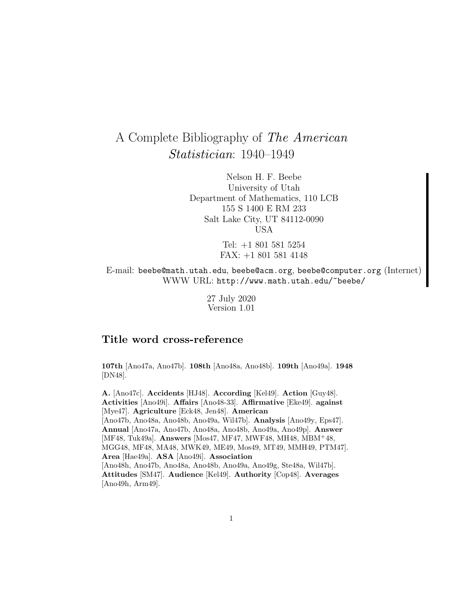# A Complete Bibliography of The American Statistician: 1940–1949

Nelson H. F. Beebe University of Utah Department of Mathematics, 110 LCB 155 S 1400 E RM 233 Salt Lake City, UT 84112-0090 USA

> Tel: +1 801 581 5254 FAX: +1 801 581 4148

E-mail: beebe@math.utah.edu, beebe@acm.org, beebe@computer.org (Internet) WWW URL: http://www.math.utah.edu/~beebe/

> 27 July 2020 Version 1.01

## **Title word cross-reference**

**107th** [Ano47a, Ano47b]. **108th** [Ano48a, Ano48b]. **109th** [Ano49a]. **1948** [DN48].

**A.** [Ano47c]. **Accidents** [HJ48]. **According** [Kel49]. **Action** [Guy48]. **Activities** [Ano49i]. **Affairs** [Ano48-33]. **Affirmative** [Eke49]. **against** [Mye47]. **Agriculture** [Eck48, Jen48]. **American** [Ano47b, Ano48a, Ano48b, Ano49a, Wil47b]. **Analysis** [Ano49y, Eps47]. **Annual** [Ano47a, Ano47b, Ano48a, Ano48b, Ano49a, Ano49p]. **Answer** [MF48, Tuk49a]. **Answers** [Mos47, MF47, MWF48, MH48, MBM<sup>+</sup>48, MGG48, MF48, MA48, MWK49, ME49, Mos49, MT49, MMH49, PTM47]. **Area** [Hae49a]. **ASA** [Ano49i]. **Association** [Ano48h, Ano47b, Ano48a, Ano48b, Ano49a, Ano49g, Ste48a, Wil47b]. **Attitudes** [SM47]. **Audience** [Kel49]. **Authority** [Cop48]. **Averages** [Ano49h, Arm49].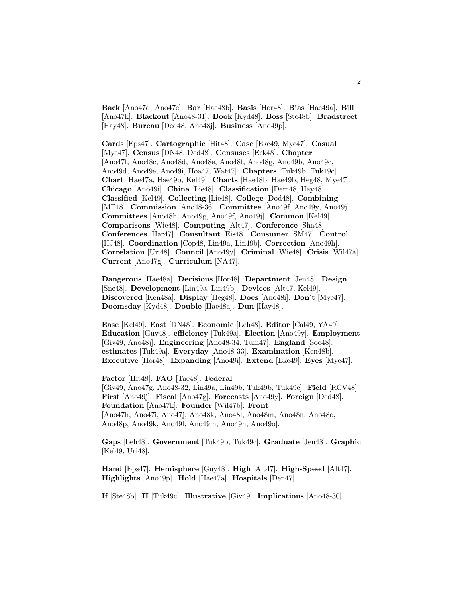**Back** [Ano47d, Ano47e]. **Bar** [Hae48b]. **Basis** [Hor48]. **Bias** [Hae49a]. **Bill** [Ano47k]. **Blackout** [Ano48-31]. **Book** [Kyd48]. **Boss** [Ste48b]. **Bradstreet** [Hay48]. **Bureau** [Ded48, Ano48j]. **Business** [Ano49p].

**Cards** [Eps47]. **Cartographic** [Hit48]. **Case** [Eke49, Mye47]. **Casual** [Mye47]. **Census** [DN48, Ded48]. **Censuses** [Eck48]. **Chapter** [Ano47f, Ano48c, Ano48d, Ano48e, Ano48f, Ano48g, Ano49b, Ano49c, Ano49d, Ano49e, Ano49i, Hoa47, Wat47]. **Chapters** [Tuk49b, Tuk49c]. **Chart** [Hae47a, Hae49b, Kel49]. **Charts** [Hae48b, Hae49b, Heg48, Mye47]. **Chicago** [Ano49i]. **China** [Lie48]. **Classification** [Dem48, Hay48]. **Classified** [Kel49]. **Collecting** [Lie48]. **College** [Dod48]. **Combining** [MF48]. **Commission** [Ano48-36]. **Committee** [Ano49f, Ano49y, Ano49j]. **Committees** [Ano48h, Ano49g, Ano49f, Ano49j]. **Common** [Kel49]. **Comparisons** [Wie48]. **Computing** [Alt47]. **Conference** [Sha48]. **Conferences** [Har47]. **Consultant** [Eis48]. **Consumer** [SM47]. **Control** [HJ48]. **Coordination** [Cop48, Lin49a, Lin49b]. **Correction** [Ano49h]. **Correlation** [Uri48]. **Council** [Ano49y]. **Criminal** [Wie48]. **Crisis** [Wil47a]. **Current** [Ano47g]. **Curriculum** [NA47].

**Dangerous** [Hae48a]. **Decisions** [Hor48]. **Department** [Jen48]. **Design** [Sne48]. **Development** [Lin49a, Lin49b]. **Devices** [Alt47, Kel49]. **Discovered** [Ken48a]. **Display** [Heg48]. **Does** [Ano48i]. **Don't** [Mye47]. **Doomsday** [Kyd48]. **Double** [Hae48a]. **Dun** [Hay48].

**Ease** [Kel49]. **East** [DN48]. **Economic** [Leh48]. **Editor** [Cal49, YA49]. **Education** [Guy48]. **efficiency** [Tuk49a]. **Election** [Ano49y]. **Employment** [Giv49, Ano48j]. **Engineering** [Ano48-34, Tum47]. **England** [Soc48]. **estimates** [Tuk49a]. **Everyday** [Ano48-33]. **Examination** [Ken48b]. **Executive** [Hor48]. **Expanding** [Ano49i]. **Extend** [Eke49]. **Eyes** [Mye47].

**Factor** [Hit48]. **FAO** [Tae48]. **Federal** [Giv49, Ano47g, Ano48-32, Lin49a, Lin49b, Tuk49b, Tuk49c]. **Field** [RCV48]. **First** [Ano49j]. **Fiscal** [Ano47g]. **Forecasts** [Ano49y]. **Foreign** [Ded48]. **Foundation** [Ano47k]. **Founder** [Wil47b]. **Front** [Ano47h, Ano47i, Ano47j, Ano48k, Ano48l, Ano48m, Ano48n, Ano48o, Ano48p, Ano49k, Ano49l, Ano49m, Ano49n, Ano49o].

**Gaps** [Leh48]. **Government** [Tuk49b, Tuk49c]. **Graduate** [Jen48]. **Graphic** [Kel49, Uri48].

**Hand** [Eps47]. **Hemisphere** [Guy48]. **High** [Alt47]. **High-Speed** [Alt47]. **Highlights** [Ano49p]. **Hold** [Hae47a]. **Hospitals** [Den47].

**If** [Ste48b]. **II** [Tuk49c]. **Illustrative** [Giv49]. **Implications** [Ano48-30].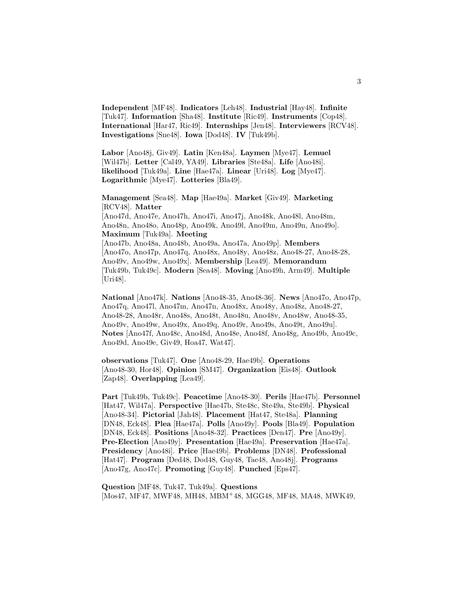**Independent** [MF48]. **Indicators** [Leh48]. **Industrial** [Hay48]. **Infinite** [Tuk47]. **Information** [Sha48]. **Institute** [Ric49]. **Instruments** [Cop48]. **International** [Har47, Ric49]. **Internships** [Jen48]. **Interviewers** [RCV48]. **Investigations** [Sne48]. **Iowa** [Dod48]. **IV** [Tuk49b].

**Labor** [Ano48j, Giv49]. **Latin** [Ken48a]. **Laymen** [Mye47]. **Lemuel** [Wil47b]. **Letter** [Cal49, YA49]. **Libraries** [Ste48a]. **Life** [Ano48i]. **likelihood** [Tuk49a]. **Line** [Hae47a]. **Linear** [Uri48]. **Log** [Mye47]. **Logarithmic** [Mye47]. **Lotteries** [Bla49].

**Management** [Sea48]. **Map** [Hae49a]. **Market** [Giv49]. **Marketing** [RCV48]. **Matter**

[Ano47d, Ano47e, Ano47h, Ano47i, Ano47j, Ano48k, Ano48l, Ano48m, Ano48n, Ano48o, Ano48p, Ano49k, Ano49l, Ano49m, Ano49n, Ano49o]. **Maximum** [Tuk49a]. **Meeting**

[Ano47b, Ano48a, Ano48b, Ano49a, Ano47a, Ano49p]. **Members** [Ano47o, Ano47p, Ano47q, Ano48x, Ano48y, Ano48z, Ano48-27, Ano48-28, Ano49v, Ano49w, Ano49x]. **Membership** [Lea49]. **Memorandum** [Tuk49b, Tuk49c]. **Modern** [Sea48]. **Moving** [Ano49h, Arm49]. **Multiple** [Uri48].

**National** [Ano47k]. **Nations** [Ano48-35, Ano48-36]. **News** [Ano47o, Ano47p, Ano47q, Ano47l, Ano47m, Ano47n, Ano48x, Ano48y, Ano48z, Ano48-27, Ano48-28, Ano48r, Ano48s, Ano48t, Ano48u, Ano48v, Ano48w, Ano48-35, Ano49v, Ano49w, Ano49x, Ano49q, Ano49r, Ano49s, Ano49t, Ano49u]. **Notes** [Ano47f, Ano48c, Ano48d, Ano48e, Ano48f, Ano48g, Ano49b, Ano49c, Ano49d, Ano49e, Giv49, Hoa47, Wat47].

**observations** [Tuk47]. **One** [Ano48-29, Hae49b]. **Operations** [Ano48-30, Hor48]. **Opinion** [SM47]. **Organization** [Eis48]. **Outlook** [Zap48]. **Overlapping** [Lea49].

**Part** [Tuk49b, Tuk49c]. **Peacetime** [Ano48-30]. **Perils** [Hae47b]. **Personnel** [Hat47, Wil47a]. **Perspective** [Hae47b, Ste48c, Ste49a, Ste49b]. **Physical** [Ano48-34]. **Pictorial** [Jah48]. **Placement** [Hat47, Ste48a]. **Planning** [DN48, Eck48]. **Plea** [Hae47a]. **Polls** [Ano49y]. **Pools** [Bla49]. **Population** [DN48, Eck48]. **Positions** [Ano48-32]. **Practices** [Den47]. **Pre** [Ano49y]. **Pre-Election** [Ano49y]. **Presentation** [Hae49a]. **Preservation** [Hae47a]. **Presidency** [Ano48i]. **Price** [Hae49b]. **Problems** [DN48]. **Professional** [Hat47]. **Program** [Ded48, Dod48, Guy48, Tae48, Ano48j]. **Programs** [Ano47g, Ano47c]. **Promoting** [Guy48]. **Punched** [Eps47].

**Question** [MF48, Tuk47, Tuk49a]. **Questions** [Mos47, MF47, MWF48, MH48, MBM<sup>+</sup>48, MGG48, MF48, MA48, MWK49,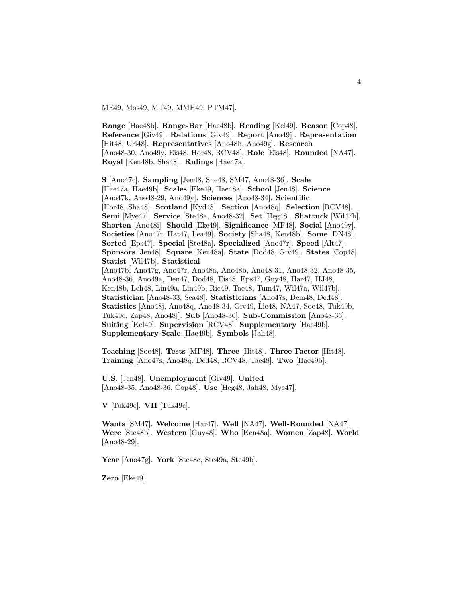ME49, Mos49, MT49, MMH49, PTM47].

**Range** [Hae48b]. **Range-Bar** [Hae48b]. **Reading** [Kel49]. **Reason** [Cop48]. **Reference** [Giv49]. **Relations** [Giv49]. **Report** [Ano49j]. **Representation** [Hit48, Uri48]. **Representatives** [Ano48h, Ano49g]. **Research** [Ano48-30, Ano49y, Eis48, Hor48, RCV48]. **Role** [Eis48]. **Rounded** [NA47]. **Royal** [Ken48b, Sha48]. **Rulings** [Hae47a].

**S** [Ano47c]. **Sampling** [Jen48, Sne48, SM47, Ano48-36]. **Scale** [Hae47a, Hae49b]. **Scales** [Eke49, Hae48a]. **School** [Jen48]. **Science** [Ano47k, Ano48-29, Ano49y]. **Sciences** [Ano48-34]. **Scientific** [Hor48, Sha48]. **Scotland** [Kyd48]. **Section** [Ano48q]. **Selection** [RCV48]. **Semi** [Mye47]. **Service** [Ste48a, Ano48-32]. **Set** [Heg48]. **Shattuck** [Wil47b]. **Shorten** [Ano48i]. **Should** [Eke49]. **Significance** [MF48]. **Social** [Ano49y]. **Societies** [Ano47r, Hat47, Lea49]. **Society** [Sha48, Ken48b]. **Some** [DN48]. **Sorted** [Eps47]. **Special** [Ste48a]. **Specialized** [Ano47r]. **Speed** [Alt47]. **Sponsors** [Jen48]. **Square** [Ken48a]. **State** [Dod48, Giv49]. **States** [Cop48]. **Statist** [Wil47b]. **Statistical** [Ano47b, Ano47g, Ano47r, Ano48a, Ano48b, Ano48-31, Ano48-32, Ano48-35, Ano48-36, Ano49a, Den47, Dod48, Eis48, Eps47, Guy48, Har47, HJ48, Ken48b, Leh48, Lin49a, Lin49b, Ric49, Tae48, Tum47, Wil47a, Wil47b]. **Statistician** [Ano48-33, Sea48]. **Statisticians** [Ano47s, Dem48, Ded48]. **Statistics** [Ano48j, Ano48q, Ano48-34, Giv49, Lie48, NA47, Soc48, Tuk49b, Tuk49c, Zap48, Ano48j]. **Sub** [Ano48-36]. **Sub-Commission** [Ano48-36]. **Suiting** [Kel49]. **Supervision** [RCV48]. **Supplementary** [Hae49b]. **Supplementary-Scale** [Hae49b]. **Symbols** [Jah48].

**Teaching** [Soc48]. **Tests** [MF48]. **Three** [Hit48]. **Three-Factor** [Hit48]. **Training** [Ano47s, Ano48q, Ded48, RCV48, Tae48]. **Two** [Hae49b].

**U.S.** [Jen48]. **Unemployment** [Giv49]. **United** [Ano48-35, Ano48-36, Cop48]. **Use** [Heg48, Jah48, Mye47].

**V** [Tuk49c]. **VII** [Tuk49c].

**Wants** [SM47]. **Welcome** [Har47]. **Well** [NA47]. **Well-Rounded** [NA47]. **Were** [Ste48b]. **Western** [Guy48]. **Who** [Ken48a]. **Women** [Zap48]. **World** [Ano48-29].

**Year** [Ano47g]. **York** [Ste48c, Ste49a, Ste49b].

**Zero** [Eke49].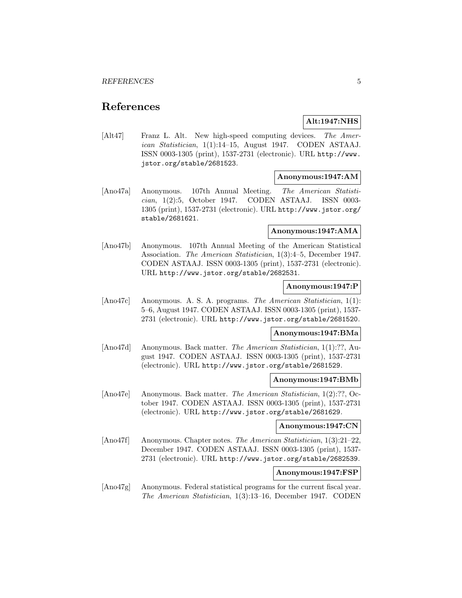## **References**

## **Alt:1947:NHS**

[Alt47] Franz L. Alt. New high-speed computing devices. The American Statistician, 1(1):14–15, August 1947. CODEN ASTAAJ. ISSN 0003-1305 (print), 1537-2731 (electronic). URL http://www. jstor.org/stable/2681523.

## **Anonymous:1947:AM**

[Ano47a] Anonymous. 107th Annual Meeting. The American Statistician, 1(2):5, October 1947. CODEN ASTAAJ. ISSN 0003- 1305 (print), 1537-2731 (electronic). URL http://www.jstor.org/ stable/2681621.

#### **Anonymous:1947:AMA**

[Ano47b] Anonymous. 107th Annual Meeting of the American Statistical Association. The American Statistician, 1(3):4–5, December 1947. CODEN ASTAAJ. ISSN 0003-1305 (print), 1537-2731 (electronic). URL http://www.jstor.org/stable/2682531.

#### **Anonymous:1947:P**

[Ano47c] Anonymous. A. S. A. programs. The American Statistician, 1(1): 5–6, August 1947. CODEN ASTAAJ. ISSN 0003-1305 (print), 1537- 2731 (electronic). URL http://www.jstor.org/stable/2681520.

### **Anonymous:1947:BMa**

[Ano47d] Anonymous. Back matter. The American Statistician, 1(1):??, August 1947. CODEN ASTAAJ. ISSN 0003-1305 (print), 1537-2731 (electronic). URL http://www.jstor.org/stable/2681529.

#### **Anonymous:1947:BMb**

[Ano47e] Anonymous. Back matter. The American Statistician, 1(2):??, October 1947. CODEN ASTAAJ. ISSN 0003-1305 (print), 1537-2731 (electronic). URL http://www.jstor.org/stable/2681629.

#### **Anonymous:1947:CN**

[Ano47f] Anonymous. Chapter notes. The American Statistician, 1(3):21–22, December 1947. CODEN ASTAAJ. ISSN 0003-1305 (print), 1537- 2731 (electronic). URL http://www.jstor.org/stable/2682539.

## **Anonymous:1947:FSP**

[Ano47g] Anonymous. Federal statistical programs for the current fiscal year. The American Statistician, 1(3):13–16, December 1947. CODEN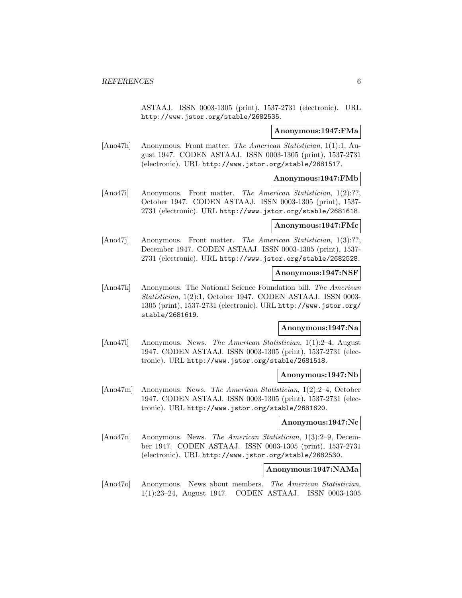ASTAAJ. ISSN 0003-1305 (print), 1537-2731 (electronic). URL http://www.jstor.org/stable/2682535.

#### **Anonymous:1947:FMa**

[Ano47h] Anonymous. Front matter. The American Statistician, 1(1):1, August 1947. CODEN ASTAAJ. ISSN 0003-1305 (print), 1537-2731 (electronic). URL http://www.jstor.org/stable/2681517.

#### **Anonymous:1947:FMb**

[Ano47i] Anonymous. Front matter. The American Statistician, 1(2):??, October 1947. CODEN ASTAAJ. ISSN 0003-1305 (print), 1537- 2731 (electronic). URL http://www.jstor.org/stable/2681618.

## **Anonymous:1947:FMc**

[Ano47j] Anonymous. Front matter. The American Statistician, 1(3):??, December 1947. CODEN ASTAAJ. ISSN 0003-1305 (print), 1537- 2731 (electronic). URL http://www.jstor.org/stable/2682528.

### **Anonymous:1947:NSF**

[Ano47k] Anonymous. The National Science Foundation bill. The American Statistician, 1(2):1, October 1947. CODEN ASTAAJ. ISSN 0003- 1305 (print), 1537-2731 (electronic). URL http://www.jstor.org/ stable/2681619.

## **Anonymous:1947:Na**

[Ano47l] Anonymous. News. The American Statistician, 1(1):2–4, August 1947. CODEN ASTAAJ. ISSN 0003-1305 (print), 1537-2731 (electronic). URL http://www.jstor.org/stable/2681518.

#### **Anonymous:1947:Nb**

[Ano47m] Anonymous. News. The American Statistician, 1(2):2–4, October 1947. CODEN ASTAAJ. ISSN 0003-1305 (print), 1537-2731 (electronic). URL http://www.jstor.org/stable/2681620.

## **Anonymous:1947:Nc**

[Ano47n] Anonymous. News. The American Statistician, 1(3):2–9, December 1947. CODEN ASTAAJ. ISSN 0003-1305 (print), 1537-2731 (electronic). URL http://www.jstor.org/stable/2682530.

## **Anonymous:1947:NAMa**

[Ano47o] Anonymous. News about members. The American Statistician, 1(1):23–24, August 1947. CODEN ASTAAJ. ISSN 0003-1305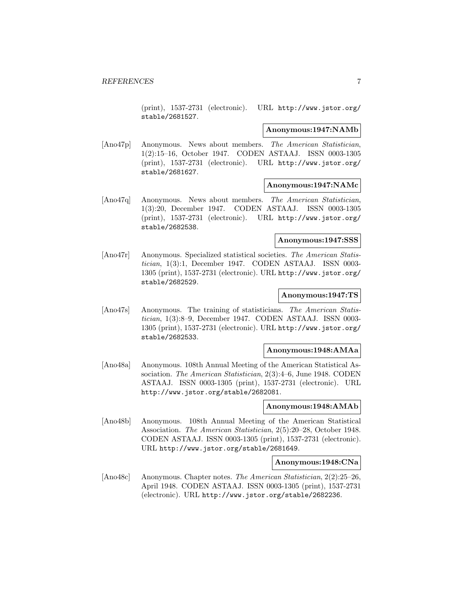(print), 1537-2731 (electronic). URL http://www.jstor.org/ stable/2681527.

#### **Anonymous:1947:NAMb**

[Ano47p] Anonymous. News about members. The American Statistician, 1(2):15–16, October 1947. CODEN ASTAAJ. ISSN 0003-1305 (print), 1537-2731 (electronic). URL http://www.jstor.org/ stable/2681627.

#### **Anonymous:1947:NAMc**

[Ano47q] Anonymous. News about members. The American Statistician, 1(3):20, December 1947. CODEN ASTAAJ. ISSN 0003-1305 (print), 1537-2731 (electronic). URL http://www.jstor.org/ stable/2682538.

## **Anonymous:1947:SSS**

[Ano47r] Anonymous. Specialized statistical societies. The American Statistician, 1(3):1, December 1947. CODEN ASTAAJ. ISSN 0003- 1305 (print), 1537-2731 (electronic). URL http://www.jstor.org/ stable/2682529.

#### **Anonymous:1947:TS**

[Ano47s] Anonymous. The training of statisticians. The American Statistician, 1(3):8–9, December 1947. CODEN ASTAAJ. ISSN 0003- 1305 (print), 1537-2731 (electronic). URL http://www.jstor.org/ stable/2682533.

#### **Anonymous:1948:AMAa**

[Ano48a] Anonymous. 108th Annual Meeting of the American Statistical Association. The American Statistician, 2(3):4–6, June 1948. CODEN ASTAAJ. ISSN 0003-1305 (print), 1537-2731 (electronic). URL http://www.jstor.org/stable/2682081.

#### **Anonymous:1948:AMAb**

[Ano48b] Anonymous. 108th Annual Meeting of the American Statistical Association. The American Statistician, 2(5):20–28, October 1948. CODEN ASTAAJ. ISSN 0003-1305 (print), 1537-2731 (electronic). URL http://www.jstor.org/stable/2681649.

#### **Anonymous:1948:CNa**

[Ano48c] Anonymous. Chapter notes. The American Statistician, 2(2):25–26, April 1948. CODEN ASTAAJ. ISSN 0003-1305 (print), 1537-2731 (electronic). URL http://www.jstor.org/stable/2682236.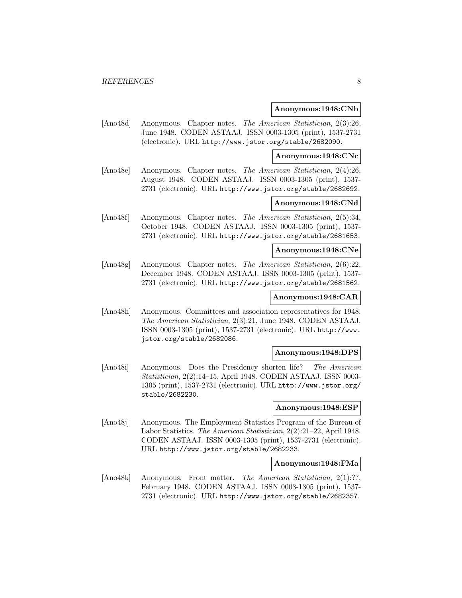#### **Anonymous:1948:CNb**

[Ano48d] Anonymous. Chapter notes. The American Statistician, 2(3):26, June 1948. CODEN ASTAAJ. ISSN 0003-1305 (print), 1537-2731 (electronic). URL http://www.jstor.org/stable/2682090.

#### **Anonymous:1948:CNc**

[Ano48e] Anonymous. Chapter notes. The American Statistician, 2(4):26, August 1948. CODEN ASTAAJ. ISSN 0003-1305 (print), 1537- 2731 (electronic). URL http://www.jstor.org/stable/2682692.

### **Anonymous:1948:CNd**

[Ano48f] Anonymous. Chapter notes. The American Statistician, 2(5):34, October 1948. CODEN ASTAAJ. ISSN 0003-1305 (print), 1537- 2731 (electronic). URL http://www.jstor.org/stable/2681653.

## **Anonymous:1948:CNe**

[Ano48g] Anonymous. Chapter notes. The American Statistician, 2(6):22, December 1948. CODEN ASTAAJ. ISSN 0003-1305 (print), 1537- 2731 (electronic). URL http://www.jstor.org/stable/2681562.

## **Anonymous:1948:CAR**

[Ano48h] Anonymous. Committees and association representatives for 1948. The American Statistician, 2(3):21, June 1948. CODEN ASTAAJ. ISSN 0003-1305 (print), 1537-2731 (electronic). URL http://www. jstor.org/stable/2682086.

#### **Anonymous:1948:DPS**

[Ano48i] Anonymous. Does the Presidency shorten life? The American Statistician, 2(2):14–15, April 1948. CODEN ASTAAJ. ISSN 0003- 1305 (print), 1537-2731 (electronic). URL http://www.jstor.org/ stable/2682230.

#### **Anonymous:1948:ESP**

[Ano48j] Anonymous. The Employment Statistics Program of the Bureau of Labor Statistics. The American Statistician, 2(2):21–22, April 1948. CODEN ASTAAJ. ISSN 0003-1305 (print), 1537-2731 (electronic). URL http://www.jstor.org/stable/2682233.

## **Anonymous:1948:FMa**

[Ano48k] Anonymous. Front matter. The American Statistician, 2(1):??, February 1948. CODEN ASTAAJ. ISSN 0003-1305 (print), 1537- 2731 (electronic). URL http://www.jstor.org/stable/2682357.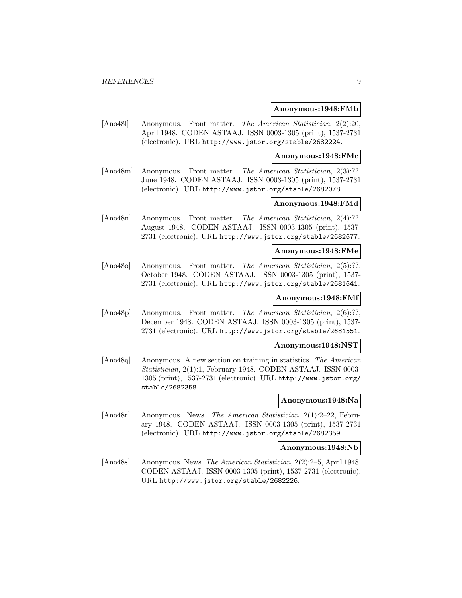#### **Anonymous:1948:FMb**

[Ano48l] Anonymous. Front matter. The American Statistician, 2(2):20, April 1948. CODEN ASTAAJ. ISSN 0003-1305 (print), 1537-2731 (electronic). URL http://www.jstor.org/stable/2682224.

**Anonymous:1948:FMc**

[Ano48m] Anonymous. Front matter. The American Statistician, 2(3):??, June 1948. CODEN ASTAAJ. ISSN 0003-1305 (print), 1537-2731 (electronic). URL http://www.jstor.org/stable/2682078.

## **Anonymous:1948:FMd**

[Ano48n] Anonymous. Front matter. The American Statistician, 2(4):??, August 1948. CODEN ASTAAJ. ISSN 0003-1305 (print), 1537- 2731 (electronic). URL http://www.jstor.org/stable/2682677.

#### **Anonymous:1948:FMe**

[Ano48o] Anonymous. Front matter. The American Statistician, 2(5):??, October 1948. CODEN ASTAAJ. ISSN 0003-1305 (print), 1537- 2731 (electronic). URL http://www.jstor.org/stable/2681641.

## **Anonymous:1948:FMf**

[Ano48p] Anonymous. Front matter. The American Statistician, 2(6):??, December 1948. CODEN ASTAAJ. ISSN 0003-1305 (print), 1537- 2731 (electronic). URL http://www.jstor.org/stable/2681551.

## **Anonymous:1948:NST**

[Ano48q] Anonymous. A new section on training in statistics. The American Statistician, 2(1):1, February 1948. CODEN ASTAAJ. ISSN 0003- 1305 (print), 1537-2731 (electronic). URL http://www.jstor.org/ stable/2682358.

#### **Anonymous:1948:Na**

[Ano48r] Anonymous. News. The American Statistician, 2(1):2–22, February 1948. CODEN ASTAAJ. ISSN 0003-1305 (print), 1537-2731 (electronic). URL http://www.jstor.org/stable/2682359.

#### **Anonymous:1948:Nb**

[Ano48s] Anonymous. News. The American Statistician, 2(2):2–5, April 1948. CODEN ASTAAJ. ISSN 0003-1305 (print), 1537-2731 (electronic). URL http://www.jstor.org/stable/2682226.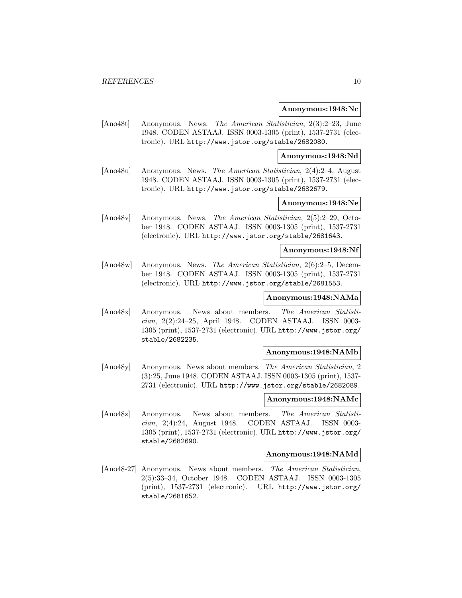#### **Anonymous:1948:Nc**

[Ano48t] Anonymous. News. The American Statistician, 2(3):2–23, June 1948. CODEN ASTAAJ. ISSN 0003-1305 (print), 1537-2731 (electronic). URL http://www.jstor.org/stable/2682080.

## **Anonymous:1948:Nd**

[Ano48u] Anonymous. News. The American Statistician, 2(4):2–4, August 1948. CODEN ASTAAJ. ISSN 0003-1305 (print), 1537-2731 (electronic). URL http://www.jstor.org/stable/2682679.

## **Anonymous:1948:Ne**

[Ano48v] Anonymous. News. The American Statistician, 2(5):2–29, October 1948. CODEN ASTAAJ. ISSN 0003-1305 (print), 1537-2731 (electronic). URL http://www.jstor.org/stable/2681643.

## **Anonymous:1948:Nf**

[Ano48w] Anonymous. News. The American Statistician, 2(6):2–5, December 1948. CODEN ASTAAJ. ISSN 0003-1305 (print), 1537-2731 (electronic). URL http://www.jstor.org/stable/2681553.

#### **Anonymous:1948:NAMa**

[Ano48x] Anonymous. News about members. The American Statistician, 2(2):24–25, April 1948. CODEN ASTAAJ. ISSN 0003- 1305 (print), 1537-2731 (electronic). URL http://www.jstor.org/ stable/2682235.

### **Anonymous:1948:NAMb**

[Ano48y] Anonymous. News about members. The American Statistician, 2 (3):25, June 1948. CODEN ASTAAJ. ISSN 0003-1305 (print), 1537- 2731 (electronic). URL http://www.jstor.org/stable/2682089.

#### **Anonymous:1948:NAMc**

[Ano48z] Anonymous. News about members. The American Statistician, 2(4):24, August 1948. CODEN ASTAAJ. ISSN 0003- 1305 (print), 1537-2731 (electronic). URL http://www.jstor.org/ stable/2682690.

#### **Anonymous:1948:NAMd**

[Ano48-27] Anonymous. News about members. The American Statistician, 2(5):33–34, October 1948. CODEN ASTAAJ. ISSN 0003-1305 (print), 1537-2731 (electronic). URL http://www.jstor.org/ stable/2681652.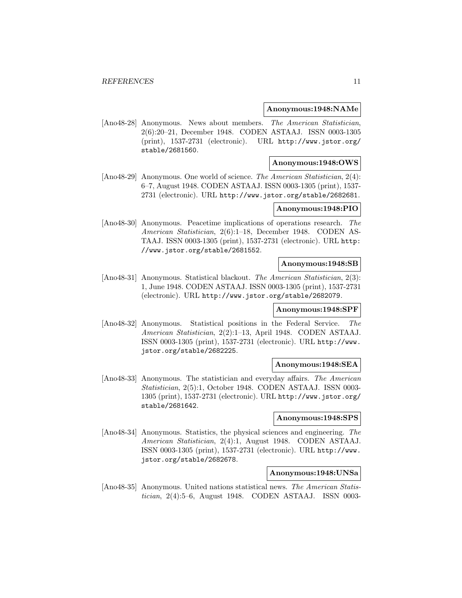#### **Anonymous:1948:NAMe**

[Ano48-28] Anonymous. News about members. The American Statistician, 2(6):20–21, December 1948. CODEN ASTAAJ. ISSN 0003-1305 (print), 1537-2731 (electronic). URL http://www.jstor.org/ stable/2681560.

#### **Anonymous:1948:OWS**

[Ano48-29] Anonymous. One world of science. The American Statistician, 2(4): 6–7, August 1948. CODEN ASTAAJ. ISSN 0003-1305 (print), 1537- 2731 (electronic). URL http://www.jstor.org/stable/2682681.

#### **Anonymous:1948:PIO**

[Ano48-30] Anonymous. Peacetime implications of operations research. The American Statistician, 2(6):1–18, December 1948. CODEN AS-TAAJ. ISSN 0003-1305 (print), 1537-2731 (electronic). URL http: //www.jstor.org/stable/2681552.

#### **Anonymous:1948:SB**

[Ano48-31] Anonymous. Statistical blackout. The American Statistician, 2(3): 1, June 1948. CODEN ASTAAJ. ISSN 0003-1305 (print), 1537-2731 (electronic). URL http://www.jstor.org/stable/2682079.

## **Anonymous:1948:SPF**

[Ano48-32] Anonymous. Statistical positions in the Federal Service. The American Statistician, 2(2):1–13, April 1948. CODEN ASTAAJ. ISSN 0003-1305 (print), 1537-2731 (electronic). URL http://www. jstor.org/stable/2682225.

#### **Anonymous:1948:SEA**

[Ano48-33] Anonymous. The statistician and everyday affairs. The American Statistician, 2(5):1, October 1948. CODEN ASTAAJ. ISSN 0003- 1305 (print), 1537-2731 (electronic). URL http://www.jstor.org/ stable/2681642.

#### **Anonymous:1948:SPS**

[Ano48-34] Anonymous. Statistics, the physical sciences and engineering. The American Statistician, 2(4):1, August 1948. CODEN ASTAAJ. ISSN 0003-1305 (print), 1537-2731 (electronic). URL http://www. jstor.org/stable/2682678.

### **Anonymous:1948:UNSa**

[Ano48-35] Anonymous. United nations statistical news. The American Statistician, 2(4):5–6, August 1948. CODEN ASTAAJ. ISSN 0003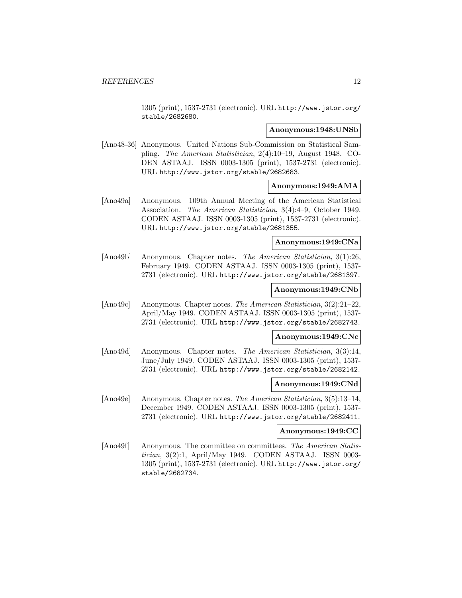1305 (print), 1537-2731 (electronic). URL http://www.jstor.org/ stable/2682680.

#### **Anonymous:1948:UNSb**

[Ano48-36] Anonymous. United Nations Sub-Commission on Statistical Sampling. The American Statistician, 2(4):10–19, August 1948. CO-DEN ASTAAJ. ISSN 0003-1305 (print), 1537-2731 (electronic). URL http://www.jstor.org/stable/2682683.

#### **Anonymous:1949:AMA**

[Ano49a] Anonymous. 109th Annual Meeting of the American Statistical Association. The American Statistician, 3(4):4–9, October 1949. CODEN ASTAAJ. ISSN 0003-1305 (print), 1537-2731 (electronic). URL http://www.jstor.org/stable/2681355.

#### **Anonymous:1949:CNa**

[Ano49b] Anonymous. Chapter notes. The American Statistician, 3(1):26, February 1949. CODEN ASTAAJ. ISSN 0003-1305 (print), 1537- 2731 (electronic). URL http://www.jstor.org/stable/2681397.

### **Anonymous:1949:CNb**

[Ano49c] Anonymous. Chapter notes. The American Statistician, 3(2):21–22, April/May 1949. CODEN ASTAAJ. ISSN 0003-1305 (print), 1537- 2731 (electronic). URL http://www.jstor.org/stable/2682743.

## **Anonymous:1949:CNc**

[Ano49d] Anonymous. Chapter notes. The American Statistician, 3(3):14, June/July 1949. CODEN ASTAAJ. ISSN 0003-1305 (print), 1537- 2731 (electronic). URL http://www.jstor.org/stable/2682142.

#### **Anonymous:1949:CNd**

[Ano49e] Anonymous. Chapter notes. The American Statistician, 3(5):13–14, December 1949. CODEN ASTAAJ. ISSN 0003-1305 (print), 1537- 2731 (electronic). URL http://www.jstor.org/stable/2682411.

#### **Anonymous:1949:CC**

[Ano49f] Anonymous. The committee on committees. The American Statistician, 3(2):1, April/May 1949. CODEN ASTAAJ. ISSN 0003- 1305 (print), 1537-2731 (electronic). URL http://www.jstor.org/ stable/2682734.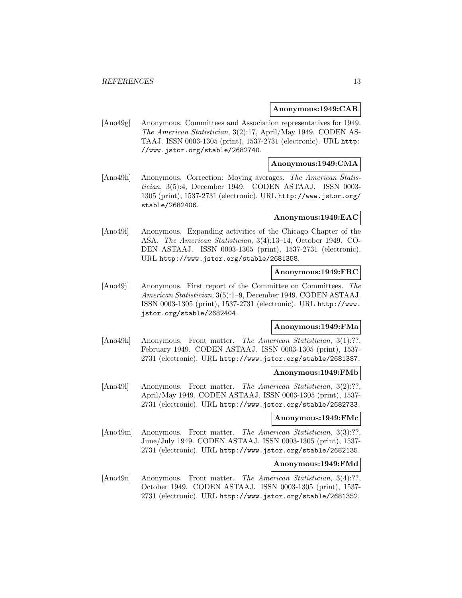#### **Anonymous:1949:CAR**

[Ano49g] Anonymous. Committees and Association representatives for 1949. The American Statistician, 3(2):17, April/May 1949. CODEN AS-TAAJ. ISSN 0003-1305 (print), 1537-2731 (electronic). URL http: //www.jstor.org/stable/2682740.

## **Anonymous:1949:CMA**

[Ano49h] Anonymous. Correction: Moving averages. The American Statistician, 3(5):4, December 1949. CODEN ASTAAJ. ISSN 0003- 1305 (print), 1537-2731 (electronic). URL http://www.jstor.org/ stable/2682406.

### **Anonymous:1949:EAC**

[Ano49i] Anonymous. Expanding activities of the Chicago Chapter of the ASA. The American Statistician, 3(4):13–14, October 1949. CO-DEN ASTAAJ. ISSN 0003-1305 (print), 1537-2731 (electronic). URL http://www.jstor.org/stable/2681358.

#### **Anonymous:1949:FRC**

[Ano49]] Anonymous. First report of the Committee on Committees. The American Statistician, 3(5):1–9, December 1949. CODEN ASTAAJ. ISSN 0003-1305 (print), 1537-2731 (electronic). URL http://www. jstor.org/stable/2682404.

## **Anonymous:1949:FMa**

[Ano49k] Anonymous. Front matter. The American Statistician, 3(1):??, February 1949. CODEN ASTAAJ. ISSN 0003-1305 (print), 1537- 2731 (electronic). URL http://www.jstor.org/stable/2681387.

## **Anonymous:1949:FMb**

[Ano491] Anonymous. Front matter. The American Statistician, 3(2):??, April/May 1949. CODEN ASTAAJ. ISSN 0003-1305 (print), 1537- 2731 (electronic). URL http://www.jstor.org/stable/2682733.

#### **Anonymous:1949:FMc**

[Ano49m] Anonymous. Front matter. The American Statistician, 3(3):??. June/July 1949. CODEN ASTAAJ. ISSN 0003-1305 (print), 1537- 2731 (electronic). URL http://www.jstor.org/stable/2682135.

### **Anonymous:1949:FMd**

[Ano49n] Anonymous. Front matter. The American Statistician, 3(4):??, October 1949. CODEN ASTAAJ. ISSN 0003-1305 (print), 1537- 2731 (electronic). URL http://www.jstor.org/stable/2681352.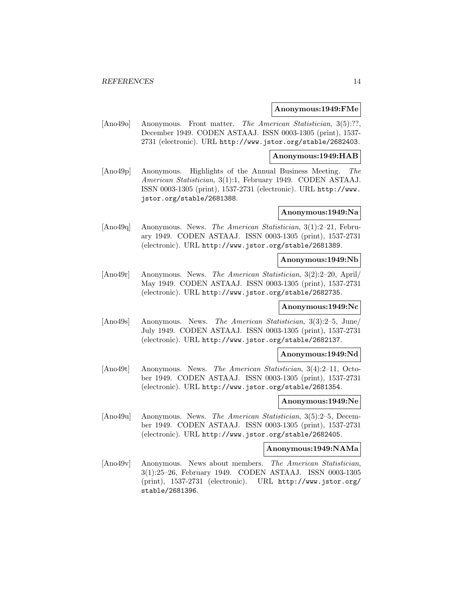#### **Anonymous:1949:FMe**

[Ano49o] Anonymous. Front matter. The American Statistician, 3(5):??, December 1949. CODEN ASTAAJ. ISSN 0003-1305 (print), 1537- 2731 (electronic). URL http://www.jstor.org/stable/2682403.

#### **Anonymous:1949:HAB**

[Ano49p] Anonymous. Highlights of the Annual Business Meeting. The American Statistician, 3(1):1, February 1949. CODEN ASTAAJ. ISSN 0003-1305 (print), 1537-2731 (electronic). URL http://www. jstor.org/stable/2681388.

#### **Anonymous:1949:Na**

[Ano49q] Anonymous. News. The American Statistician, 3(1):2–21, February 1949. CODEN ASTAAJ. ISSN 0003-1305 (print), 1537-2731 (electronic). URL http://www.jstor.org/stable/2681389.

## **Anonymous:1949:Nb**

[Ano49r] Anonymous. News. The American Statistician, 3(2):2–20, April/ May 1949. CODEN ASTAAJ. ISSN 0003-1305 (print), 1537-2731 (electronic). URL http://www.jstor.org/stable/2682735.

#### **Anonymous:1949:Nc**

[Ano49s] Anonymous. News. The American Statistician, 3(3):2–5, June/ July 1949. CODEN ASTAAJ. ISSN 0003-1305 (print), 1537-2731 (electronic). URL http://www.jstor.org/stable/2682137.

#### **Anonymous:1949:Nd**

[Ano49t] Anonymous. News. The American Statistician, 3(4):2–11, October 1949. CODEN ASTAAJ. ISSN 0003-1305 (print), 1537-2731 (electronic). URL http://www.jstor.org/stable/2681354.

## **Anonymous:1949:Ne**

[Ano49u] Anonymous. News. The American Statistician, 3(5):2–5, December 1949. CODEN ASTAAJ. ISSN 0003-1305 (print), 1537-2731 (electronic). URL http://www.jstor.org/stable/2682405.

## **Anonymous:1949:NAMa**

[Ano49v] Anonymous. News about members. The American Statistician, 3(1):25–26, February 1949. CODEN ASTAAJ. ISSN 0003-1305 (print), 1537-2731 (electronic). URL http://www.jstor.org/ stable/2681396.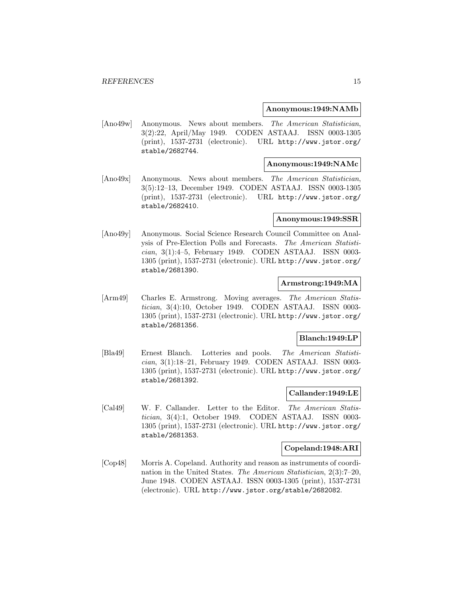#### **Anonymous:1949:NAMb**

[Ano49w] Anonymous. News about members. The American Statistician, 3(2):22, April/May 1949. CODEN ASTAAJ. ISSN 0003-1305 (print), 1537-2731 (electronic). URL http://www.jstor.org/ stable/2682744.

#### **Anonymous:1949:NAMc**

[Ano49x] Anonymous. News about members. The American Statistician, 3(5):12–13, December 1949. CODEN ASTAAJ. ISSN 0003-1305 (print), 1537-2731 (electronic). URL http://www.jstor.org/ stable/2682410.

#### **Anonymous:1949:SSR**

[Ano49y] Anonymous. Social Science Research Council Committee on Analysis of Pre-Election Polls and Forecasts. The American Statistician, 3(1):4–5, February 1949. CODEN ASTAAJ. ISSN 0003- 1305 (print), 1537-2731 (electronic). URL http://www.jstor.org/ stable/2681390.

#### **Armstrong:1949:MA**

[Arm49] Charles E. Armstrong. Moving averages. The American Statistician, 3(4):10, October 1949. CODEN ASTAAJ. ISSN 0003- 1305 (print), 1537-2731 (electronic). URL http://www.jstor.org/ stable/2681356.

#### **Blanch:1949:LP**

[Bla49] Ernest Blanch. Lotteries and pools. The American Statistician, 3(1):18–21, February 1949. CODEN ASTAAJ. ISSN 0003- 1305 (print), 1537-2731 (electronic). URL http://www.jstor.org/ stable/2681392.

#### **Callander:1949:LE**

[Cal49] W. F. Callander. Letter to the Editor. The American Statistician, 3(4):1, October 1949. CODEN ASTAAJ. ISSN 0003- 1305 (print), 1537-2731 (electronic). URL http://www.jstor.org/ stable/2681353.

## **Copeland:1948:ARI**

[Cop48] Morris A. Copeland. Authority and reason as instruments of coordination in the United States. The American Statistician, 2(3):7–20, June 1948. CODEN ASTAAJ. ISSN 0003-1305 (print), 1537-2731 (electronic). URL http://www.jstor.org/stable/2682082.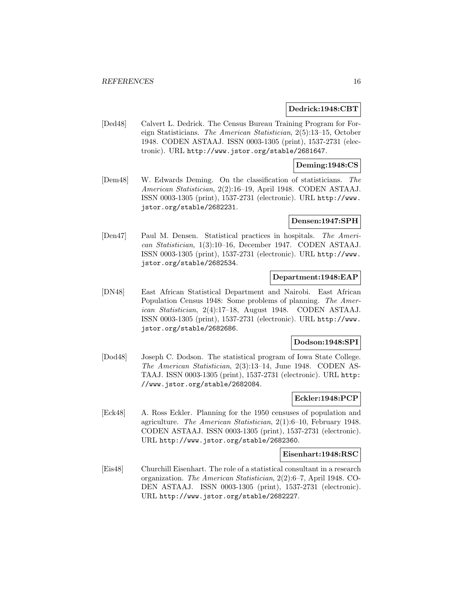#### **Dedrick:1948:CBT**

[Ded48] Calvert L. Dedrick. The Census Bureau Training Program for Foreign Statisticians. The American Statistician, 2(5):13–15, October 1948. CODEN ASTAAJ. ISSN 0003-1305 (print), 1537-2731 (electronic). URL http://www.jstor.org/stable/2681647.

## **Deming:1948:CS**

[Dem48] W. Edwards Deming. On the classification of statisticians. The American Statistician, 2(2):16–19, April 1948. CODEN ASTAAJ. ISSN 0003-1305 (print), 1537-2731 (electronic). URL http://www. jstor.org/stable/2682231.

#### **Densen:1947:SPH**

[Den47] Paul M. Densen. Statistical practices in hospitals. The American Statistician, 1(3):10–16, December 1947. CODEN ASTAAJ. ISSN 0003-1305 (print), 1537-2731 (electronic). URL http://www. jstor.org/stable/2682534.

## **Department:1948:EAP**

[DN48] East African Statistical Department and Nairobi. East African Population Census 1948: Some problems of planning. The American Statistician, 2(4):17–18, August 1948. CODEN ASTAAJ. ISSN 0003-1305 (print), 1537-2731 (electronic). URL http://www. jstor.org/stable/2682686.

#### **Dodson:1948:SPI**

[Dod48] Joseph C. Dodson. The statistical program of Iowa State College. The American Statistician, 2(3):13–14, June 1948. CODEN AS-TAAJ. ISSN 0003-1305 (print), 1537-2731 (electronic). URL http: //www.jstor.org/stable/2682084.

## **Eckler:1948:PCP**

[Eck48] A. Ross Eckler. Planning for the 1950 censuses of population and agriculture. The American Statistician, 2(1):6–10, February 1948. CODEN ASTAAJ. ISSN 0003-1305 (print), 1537-2731 (electronic). URL http://www.jstor.org/stable/2682360.

#### **Eisenhart:1948:RSC**

[Eis48] Churchill Eisenhart. The role of a statistical consultant in a research organization. The American Statistician, 2(2):6–7, April 1948. CO-DEN ASTAAJ. ISSN 0003-1305 (print), 1537-2731 (electronic). URL http://www.jstor.org/stable/2682227.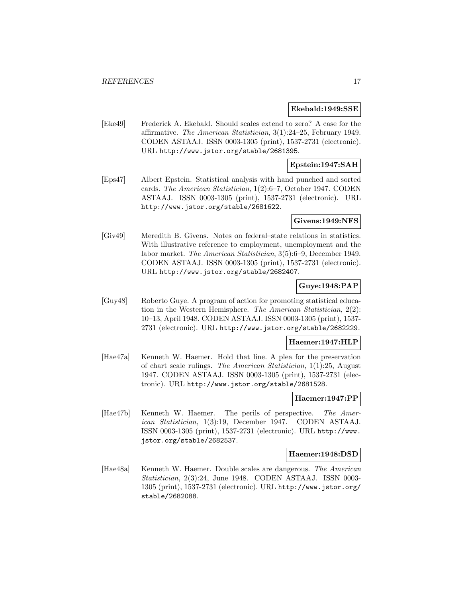#### **Ekebald:1949:SSE**

[Eke49] Frederick A. Ekebald. Should scales extend to zero? A case for the affirmative. The American Statistician, 3(1):24–25, February 1949. CODEN ASTAAJ. ISSN 0003-1305 (print), 1537-2731 (electronic). URL http://www.jstor.org/stable/2681395.

## **Epstein:1947:SAH**

[Eps47] Albert Epstein. Statistical analysis with hand punched and sorted cards. The American Statistician, 1(2):6–7, October 1947. CODEN ASTAAJ. ISSN 0003-1305 (print), 1537-2731 (electronic). URL http://www.jstor.org/stable/2681622.

#### **Givens:1949:NFS**

[Giv49] Meredith B. Givens. Notes on federal–state relations in statistics. With illustrative reference to employment, unemployment and the labor market. The American Statistician, 3(5):6–9, December 1949. CODEN ASTAAJ. ISSN 0003-1305 (print), 1537-2731 (electronic). URL http://www.jstor.org/stable/2682407.

## **Guye:1948:PAP**

[Guy48] Roberto Guye. A program of action for promoting statistical education in the Western Hemisphere. The American Statistician, 2(2): 10–13, April 1948. CODEN ASTAAJ. ISSN 0003-1305 (print), 1537- 2731 (electronic). URL http://www.jstor.org/stable/2682229.

#### **Haemer:1947:HLP**

[Hae47a] Kenneth W. Haemer. Hold that line. A plea for the preservation of chart scale rulings. The American Statistician, 1(1):25, August 1947. CODEN ASTAAJ. ISSN 0003-1305 (print), 1537-2731 (electronic). URL http://www.jstor.org/stable/2681528.

## **Haemer:1947:PP**

[Hae47b] Kenneth W. Haemer. The perils of perspective. The American Statistician, 1(3):19, December 1947. CODEN ASTAAJ. ISSN 0003-1305 (print), 1537-2731 (electronic). URL http://www. jstor.org/stable/2682537.

#### **Haemer:1948:DSD**

[Hae48a] Kenneth W. Haemer. Double scales are dangerous. The American Statistician, 2(3):24, June 1948. CODEN ASTAAJ. ISSN 0003- 1305 (print), 1537-2731 (electronic). URL http://www.jstor.org/ stable/2682088.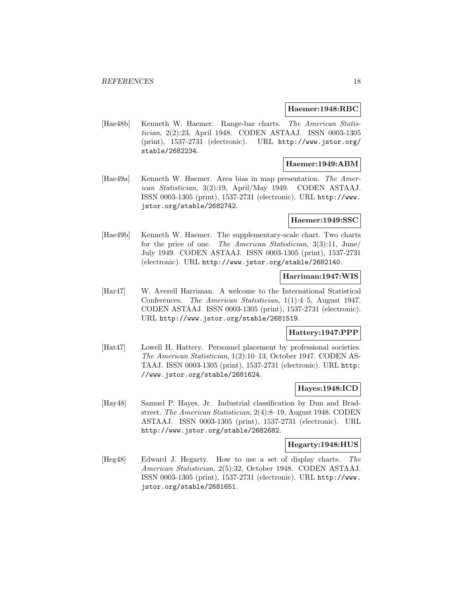#### **Haemer:1948:RBC**

[Hae48b] Kenneth W. Haemer. Range-bar charts. The American Statistician, 2(2):23, April 1948. CODEN ASTAAJ. ISSN 0003-1305 (print), 1537-2731 (electronic). URL http://www.jstor.org/ stable/2682234.

## **Haemer:1949:ABM**

[Hae49a] Kenneth W. Haemer. Area bias in map presentation. The American Statistician, 3(2):19, April/May 1949. CODEN ASTAAJ. ISSN 0003-1305 (print), 1537-2731 (electronic). URL http://www. jstor.org/stable/2682742.

#### **Haemer:1949:SSC**

[Hae49b] Kenneth W. Haemer. The supplementary-scale chart. Two charts for the price of one. The American Statistician, 3(3):11, June/ July 1949. CODEN ASTAAJ. ISSN 0003-1305 (print), 1537-2731 (electronic). URL http://www.jstor.org/stable/2682140.

## **Harriman:1947:WIS**

[Har47] W. Averell Harriman. A welcome to the International Statistical Conferences. The American Statistician, 1(1):4–5, August 1947. CODEN ASTAAJ. ISSN 0003-1305 (print), 1537-2731 (electronic). URL http://www.jstor.org/stable/2681519.

### **Hattery:1947:PPP**

[Hat47] Lowell H. Hattery. Personnel placement by professional societies. The American Statistician, 1(2):10–13, October 1947. CODEN AS-TAAJ. ISSN 0003-1305 (print), 1537-2731 (electronic). URL http: //www.jstor.org/stable/2681624.

## **Hayes:1948:ICD**

[Hay48] Samuel P. Hayes, Jr. Industrial classification by Dun and Bradstreet. The American Statistician, 2(4):8–19, August 1948. CODEN ASTAAJ. ISSN 0003-1305 (print), 1537-2731 (electronic). URL http://www.jstor.org/stable/2682682.

#### **Hegarty:1948:HUS**

[Heg48] Edward J. Hegarty. How to use a set of display charts. The American Statistician, 2(5):32, October 1948. CODEN ASTAAJ. ISSN 0003-1305 (print), 1537-2731 (electronic). URL http://www. jstor.org/stable/2681651.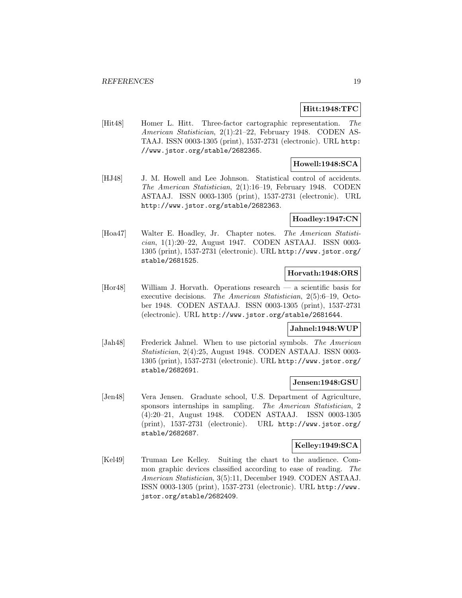## **Hitt:1948:TFC**

[Hit48] Homer L. Hitt. Three-factor cartographic representation. The American Statistician, 2(1):21–22, February 1948. CODEN AS-TAAJ. ISSN 0003-1305 (print), 1537-2731 (electronic). URL http: //www.jstor.org/stable/2682365.

## **Howell:1948:SCA**

[HJ48] J. M. Howell and Lee Johnson. Statistical control of accidents. The American Statistician, 2(1):16–19, February 1948. CODEN ASTAAJ. ISSN 0003-1305 (print), 1537-2731 (electronic). URL http://www.jstor.org/stable/2682363.

## **Hoadley:1947:CN**

[Hoa47] Walter E. Hoadley, Jr. Chapter notes. The American Statistician, 1(1):20–22, August 1947. CODEN ASTAAJ. ISSN 0003- 1305 (print), 1537-2731 (electronic). URL http://www.jstor.org/ stable/2681525.

### **Horvath:1948:ORS**

[Hor48] William J. Horvath. Operations research — a scientific basis for executive decisions. The American Statistician, 2(5):6–19, October 1948. CODEN ASTAAJ. ISSN 0003-1305 (print), 1537-2731 (electronic). URL http://www.jstor.org/stable/2681644.

#### **Jahnel:1948:WUP**

[Jah48] Frederick Jahnel. When to use pictorial symbols. The American Statistician, 2(4):25, August 1948. CODEN ASTAAJ. ISSN 0003- 1305 (print), 1537-2731 (electronic). URL http://www.jstor.org/ stable/2682691.

#### **Jensen:1948:GSU**

[Jen48] Vera Jensen. Graduate school, U.S. Department of Agriculture, sponsors internships in sampling. The American Statistician, 2 (4):20–21, August 1948. CODEN ASTAAJ. ISSN 0003-1305 (print), 1537-2731 (electronic). URL http://www.jstor.org/ stable/2682687.

## **Kelley:1949:SCA**

[Kel49] Truman Lee Kelley. Suiting the chart to the audience. Common graphic devices classified according to ease of reading. The American Statistician, 3(5):11, December 1949. CODEN ASTAAJ. ISSN 0003-1305 (print), 1537-2731 (electronic). URL http://www. jstor.org/stable/2682409.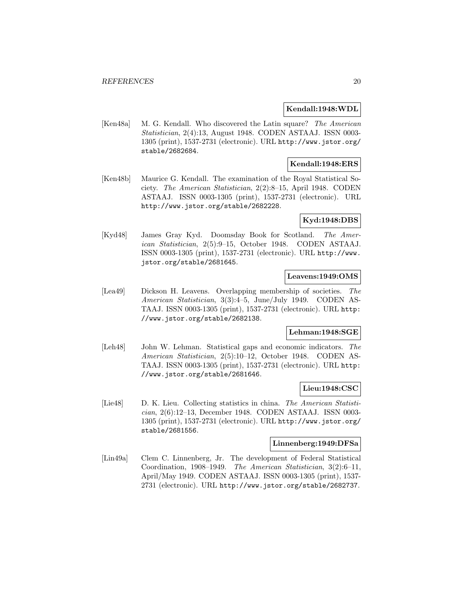## **Kendall:1948:WDL**

[Ken48a] M. G. Kendall. Who discovered the Latin square? The American Statistician, 2(4):13, August 1948. CODEN ASTAAJ. ISSN 0003- 1305 (print), 1537-2731 (electronic). URL http://www.jstor.org/ stable/2682684.

## **Kendall:1948:ERS**

[Ken48b] Maurice G. Kendall. The examination of the Royal Statistical Society. The American Statistician, 2(2):8–15, April 1948. CODEN ASTAAJ. ISSN 0003-1305 (print), 1537-2731 (electronic). URL http://www.jstor.org/stable/2682228.

## **Kyd:1948:DBS**

[Kyd48] James Gray Kyd. Doomsday Book for Scotland. The American Statistician, 2(5):9–15, October 1948. CODEN ASTAAJ. ISSN 0003-1305 (print), 1537-2731 (electronic). URL http://www. jstor.org/stable/2681645.

## **Leavens:1949:OMS**

[Lea49] Dickson H. Leavens. Overlapping membership of societies. The American Statistician, 3(3):4–5, June/July 1949. CODEN AS-TAAJ. ISSN 0003-1305 (print), 1537-2731 (electronic). URL http: //www.jstor.org/stable/2682138.

## **Lehman:1948:SGE**

[Leh48] John W. Lehman. Statistical gaps and economic indicators. The American Statistician, 2(5):10–12, October 1948. CODEN AS-TAAJ. ISSN 0003-1305 (print), 1537-2731 (electronic). URL http: //www.jstor.org/stable/2681646.

### **Lieu:1948:CSC**

[Lie48] D. K. Lieu. Collecting statistics in china. The American Statistician, 2(6):12–13, December 1948. CODEN ASTAAJ. ISSN 0003- 1305 (print), 1537-2731 (electronic). URL http://www.jstor.org/ stable/2681556.

### **Linnenberg:1949:DFSa**

[Lin49a] Clem C. Linnenberg, Jr. The development of Federal Statistical Coordination, 1908–1949. The American Statistician, 3(2):6–11, April/May 1949. CODEN ASTAAJ. ISSN 0003-1305 (print), 1537- 2731 (electronic). URL http://www.jstor.org/stable/2682737.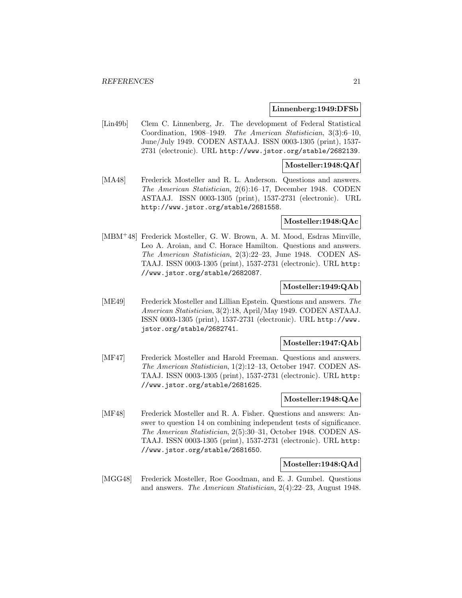#### **Linnenberg:1949:DFSb**

[Lin49b] Clem C. Linnenberg, Jr. The development of Federal Statistical Coordination, 1908–1949. The American Statistician, 3(3):6–10, June/July 1949. CODEN ASTAAJ. ISSN 0003-1305 (print), 1537- 2731 (electronic). URL http://www.jstor.org/stable/2682139.

## **Mosteller:1948:QAf**

[MA48] Frederick Mosteller and R. L. Anderson. Questions and answers. The American Statistician, 2(6):16–17, December 1948. CODEN ASTAAJ. ISSN 0003-1305 (print), 1537-2731 (electronic). URL http://www.jstor.org/stable/2681558.

## **Mosteller:1948:QAc**

[MBM<sup>+</sup>48] Frederick Mosteller, G. W. Brown, A. M. Mood, Esdras Minville, Leo A. Aroian, and C. Horace Hamilton. Questions and answers. The American Statistician, 2(3):22–23, June 1948. CODEN AS-TAAJ. ISSN 0003-1305 (print), 1537-2731 (electronic). URL http: //www.jstor.org/stable/2682087.

#### **Mosteller:1949:QAb**

[ME49] Frederick Mosteller and Lillian Epstein. Questions and answers. The American Statistician, 3(2):18, April/May 1949. CODEN ASTAAJ. ISSN 0003-1305 (print), 1537-2731 (electronic). URL http://www. jstor.org/stable/2682741.

#### **Mosteller:1947:QAb**

[MF47] Frederick Mosteller and Harold Freeman. Questions and answers. The American Statistician, 1(2):12–13, October 1947. CODEN AS-TAAJ. ISSN 0003-1305 (print), 1537-2731 (electronic). URL http: //www.jstor.org/stable/2681625.

## **Mosteller:1948:QAe**

[MF48] Frederick Mosteller and R. A. Fisher. Questions and answers: Answer to question 14 on combining independent tests of significance. The American Statistician, 2(5):30–31, October 1948. CODEN AS-TAAJ. ISSN 0003-1305 (print), 1537-2731 (electronic). URL http: //www.jstor.org/stable/2681650.

### **Mosteller:1948:QAd**

[MGG48] Frederick Mosteller, Roe Goodman, and E. J. Gumbel. Questions and answers. The American Statistician, 2(4):22–23, August 1948.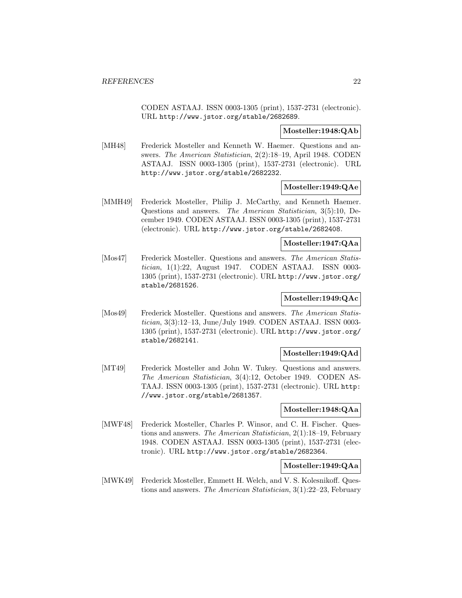CODEN ASTAAJ. ISSN 0003-1305 (print), 1537-2731 (electronic). URL http://www.jstor.org/stable/2682689.

#### **Mosteller:1948:QAb**

[MH48] Frederick Mosteller and Kenneth W. Haemer. Questions and answers. The American Statistician, 2(2):18–19, April 1948. CODEN ASTAAJ. ISSN 0003-1305 (print), 1537-2731 (electronic). URL http://www.jstor.org/stable/2682232.

#### **Mosteller:1949:QAe**

[MMH49] Frederick Mosteller, Philip J. McCarthy, and Kenneth Haemer. Questions and answers. The American Statistician, 3(5):10, December 1949. CODEN ASTAAJ. ISSN 0003-1305 (print), 1537-2731 (electronic). URL http://www.jstor.org/stable/2682408.

### **Mosteller:1947:QAa**

[Mos47] Frederick Mosteller. Questions and answers. The American Statistician, 1(1):22, August 1947. CODEN ASTAAJ. ISSN 0003- 1305 (print), 1537-2731 (electronic). URL http://www.jstor.org/ stable/2681526.

## **Mosteller:1949:QAc**

[Mos49] Frederick Mosteller. Questions and answers. The American Statistician, 3(3):12–13, June/July 1949. CODEN ASTAAJ. ISSN 0003- 1305 (print), 1537-2731 (electronic). URL http://www.jstor.org/ stable/2682141.

## **Mosteller:1949:QAd**

[MT49] Frederick Mosteller and John W. Tukey. Questions and answers. The American Statistician, 3(4):12, October 1949. CODEN AS-TAAJ. ISSN 0003-1305 (print), 1537-2731 (electronic). URL http: //www.jstor.org/stable/2681357.

## **Mosteller:1948:QAa**

[MWF48] Frederick Mosteller, Charles P. Winsor, and C. H. Fischer. Questions and answers. The American Statistician, 2(1):18–19, February 1948. CODEN ASTAAJ. ISSN 0003-1305 (print), 1537-2731 (electronic). URL http://www.jstor.org/stable/2682364.

## **Mosteller:1949:QAa**

[MWK49] Frederick Mosteller, Emmett H. Welch, and V. S. Kolesnikoff. Questions and answers. The American Statistician, 3(1):22–23, February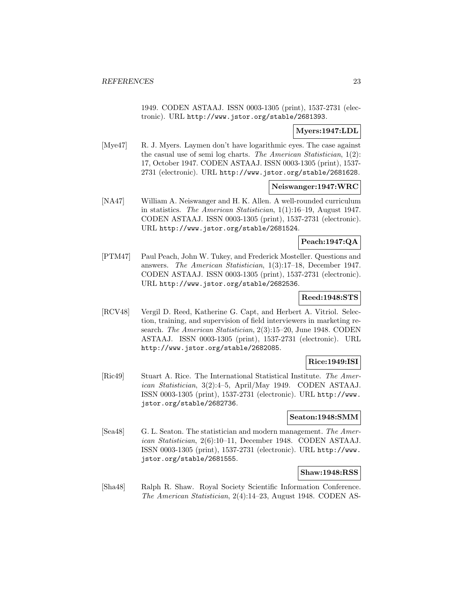1949. CODEN ASTAAJ. ISSN 0003-1305 (print), 1537-2731 (electronic). URL http://www.jstor.org/stable/2681393.

## **Myers:1947:LDL**

[Mye47] R. J. Myers. Laymen don't have logarithmic eyes. The case against the casual use of semi log charts. The American Statistician, 1(2): 17, October 1947. CODEN ASTAAJ. ISSN 0003-1305 (print), 1537- 2731 (electronic). URL http://www.jstor.org/stable/2681628.

### **Neiswanger:1947:WRC**

[NA47] William A. Neiswanger and H. K. Allen. A well-rounded curriculum in statistics. The American Statistician, 1(1):16–19, August 1947. CODEN ASTAAJ. ISSN 0003-1305 (print), 1537-2731 (electronic). URL http://www.jstor.org/stable/2681524.

## **Peach:1947:QA**

[PTM47] Paul Peach, John W. Tukey, and Frederick Mosteller. Questions and answers. The American Statistician, 1(3):17–18, December 1947. CODEN ASTAAJ. ISSN 0003-1305 (print), 1537-2731 (electronic). URL http://www.jstor.org/stable/2682536.

## **Reed:1948:STS**

[RCV48] Vergil D. Reed, Katherine G. Capt, and Herbert A. Vitriol. Selection, training, and supervision of field interviewers in marketing research. The American Statistician, 2(3):15–20, June 1948. CODEN ASTAAJ. ISSN 0003-1305 (print), 1537-2731 (electronic). URL http://www.jstor.org/stable/2682085.

### **Rice:1949:ISI**

[Ric49] Stuart A. Rice. The International Statistical Institute. The American Statistician, 3(2):4–5, April/May 1949. CODEN ASTAAJ. ISSN 0003-1305 (print), 1537-2731 (electronic). URL http://www. jstor.org/stable/2682736.

#### **Seaton:1948:SMM**

[Sea48] G. L. Seaton. The statistician and modern management. The American Statistician, 2(6):10–11, December 1948. CODEN ASTAAJ. ISSN 0003-1305 (print), 1537-2731 (electronic). URL http://www. jstor.org/stable/2681555.

## **Shaw:1948:RSS**

[Sha48] Ralph R. Shaw. Royal Society Scientific Information Conference. The American Statistician, 2(4):14–23, August 1948. CODEN AS-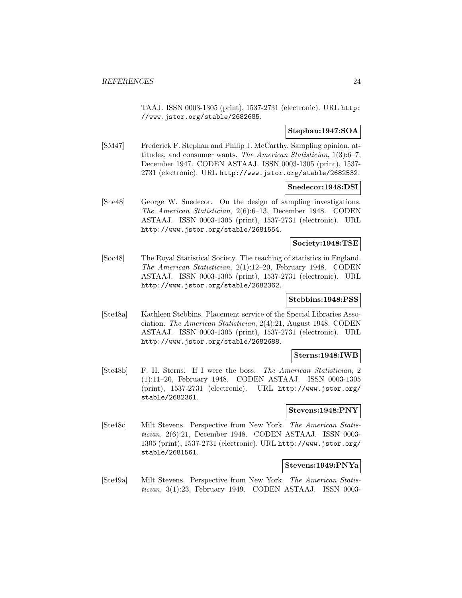TAAJ. ISSN 0003-1305 (print), 1537-2731 (electronic). URL http: //www.jstor.org/stable/2682685.

## **Stephan:1947:SOA**

[SM47] Frederick F. Stephan and Philip J. McCarthy. Sampling opinion, attitudes, and consumer wants. The American Statistician, 1(3):6–7, December 1947. CODEN ASTAAJ. ISSN 0003-1305 (print), 1537- 2731 (electronic). URL http://www.jstor.org/stable/2682532.

#### **Snedecor:1948:DSI**

[Sne48] George W. Snedecor. On the design of sampling investigations. The American Statistician, 2(6):6–13, December 1948. CODEN ASTAAJ. ISSN 0003-1305 (print), 1537-2731 (electronic). URL http://www.jstor.org/stable/2681554.

#### **Society:1948:TSE**

[Soc48] The Royal Statistical Society. The teaching of statistics in England. The American Statistician, 2(1):12–20, February 1948. CODEN ASTAAJ. ISSN 0003-1305 (print), 1537-2731 (electronic). URL http://www.jstor.org/stable/2682362.

## **Stebbins:1948:PSS**

[Ste48a] Kathleen Stebbins. Placement service of the Special Libraries Association. The American Statistician, 2(4):21, August 1948. CODEN ASTAAJ. ISSN 0003-1305 (print), 1537-2731 (electronic). URL http://www.jstor.org/stable/2682688.

#### **Sterns:1948:IWB**

[Ste48b] F. H. Sterns. If I were the boss. The American Statistician, 2 (1):11–20, February 1948. CODEN ASTAAJ. ISSN 0003-1305 (print), 1537-2731 (electronic). URL http://www.jstor.org/ stable/2682361.

## **Stevens:1948:PNY**

[Ste48c] Milt Stevens. Perspective from New York. The American Statistician, 2(6):21, December 1948. CODEN ASTAAJ. ISSN 0003- 1305 (print), 1537-2731 (electronic). URL http://www.jstor.org/ stable/2681561.

#### **Stevens:1949:PNYa**

[Ste49a] Milt Stevens. Perspective from New York. The American Statistician, 3(1):23, February 1949. CODEN ASTAAJ. ISSN 0003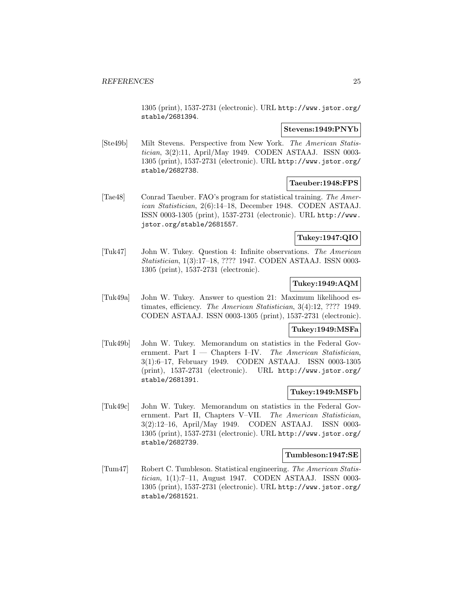1305 (print), 1537-2731 (electronic). URL http://www.jstor.org/ stable/2681394.

## **Stevens:1949:PNYb**

[Ste49b] Milt Stevens. Perspective from New York. The American Statistician, 3(2):11, April/May 1949. CODEN ASTAAJ. ISSN 0003- 1305 (print), 1537-2731 (electronic). URL http://www.jstor.org/ stable/2682738.

## **Taeuber:1948:FPS**

[Tae48] Conrad Taeuber. FAO's program for statistical training. The American Statistician, 2(6):14–18, December 1948. CODEN ASTAAJ. ISSN 0003-1305 (print), 1537-2731 (electronic). URL http://www. jstor.org/stable/2681557.

## **Tukey:1947:QIO**

[Tuk47] John W. Tukey. Question 4: Infinite observations. The American Statistician, 1(3):17–18, ???? 1947. CODEN ASTAAJ. ISSN 0003- 1305 (print), 1537-2731 (electronic).

## **Tukey:1949:AQM**

[Tuk49a] John W. Tukey. Answer to question 21: Maximum likelihood estimates, efficiency. The American Statistician, 3(4):12, ???? 1949. CODEN ASTAAJ. ISSN 0003-1305 (print), 1537-2731 (electronic).

#### **Tukey:1949:MSFa**

[Tuk49b] John W. Tukey. Memorandum on statistics in the Federal Government. Part  $I$  — Chapters I–IV. The American Statistician, 3(1):6–17, February 1949. CODEN ASTAAJ. ISSN 0003-1305 (print), 1537-2731 (electronic). URL http://www.jstor.org/ stable/2681391.

#### **Tukey:1949:MSFb**

[Tuk49c] John W. Tukey. Memorandum on statistics in the Federal Government. Part II, Chapters V–VII. The American Statistician, 3(2):12–16, April/May 1949. CODEN ASTAAJ. ISSN 0003- 1305 (print), 1537-2731 (electronic). URL http://www.jstor.org/ stable/2682739.

#### **Tumbleson:1947:SE**

[Tum47] Robert C. Tumbleson. Statistical engineering. The American Statistician, 1(1):7–11, August 1947. CODEN ASTAAJ. ISSN 0003- 1305 (print), 1537-2731 (electronic). URL http://www.jstor.org/ stable/2681521.